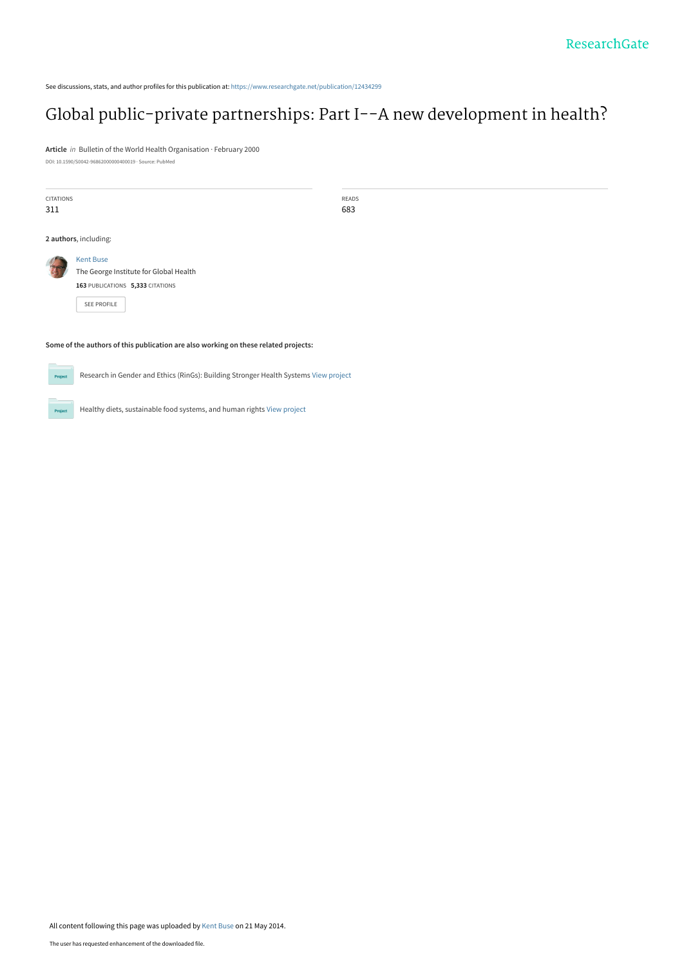See discussions, stats, and author profiles for this publication at: [https://www.researchgate.net/publication/12434299](https://www.researchgate.net/publication/12434299_Global_public-private_partnerships_Part_I--A_new_development_in_health?enrichId=rgreq-7365a08ad0f8db3edef9796f64055b92-XXX&enrichSource=Y292ZXJQYWdlOzEyNDM0Mjk5O0FTOjk5MjI0NzkyMzM4NDUwQDE0MDA2Njg0NDI2OTM%3D&el=1_x_2&_esc=publicationCoverPdf)

## [Global public-private partnerships: Part I--A new development in health?](https://www.researchgate.net/publication/12434299_Global_public-private_partnerships_Part_I--A_new_development_in_health?enrichId=rgreq-7365a08ad0f8db3edef9796f64055b92-XXX&enrichSource=Y292ZXJQYWdlOzEyNDM0Mjk5O0FTOjk5MjI0NzkyMzM4NDUwQDE0MDA2Njg0NDI2OTM%3D&el=1_x_3&_esc=publicationCoverPdf)

**Article** in Bulletin of the World Health Organisation · February 2000 DOI: 10.1590/S0042-96862000000400019 · Source: PubMed

| CITATIONS<br>311      |                                                                                                               | READS<br>683 |
|-----------------------|---------------------------------------------------------------------------------------------------------------|--------------|
| 2 authors, including: |                                                                                                               |              |
|                       | <b>Kent Buse</b><br>The George Institute for Global Health<br>163 PUBLICATIONS 5,333 CITATIONS<br>SEE PROFILE |              |

#### **Some of the authors of this publication are also working on these related projects:**

Project

Research in Gender and Ethics (RinGs): Building Stronger Health Systems [View project](https://www.researchgate.net/project/Research-in-Gender-and-Ethics-RinGs-Building-Stronger-Health-Systems?enrichId=rgreq-7365a08ad0f8db3edef9796f64055b92-XXX&enrichSource=Y292ZXJQYWdlOzEyNDM0Mjk5O0FTOjk5MjI0NzkyMzM4NDUwQDE0MDA2Njg0NDI2OTM%3D&el=1_x_9&_esc=publicationCoverPdf)

 $Prc$ 

Healthy diets, sustainable food systems, and human rights [View project](https://www.researchgate.net/project/Healthy-diets-sustainable-food-systems-and-human-rights?enrichId=rgreq-7365a08ad0f8db3edef9796f64055b92-XXX&enrichSource=Y292ZXJQYWdlOzEyNDM0Mjk5O0FTOjk5MjI0NzkyMzM4NDUwQDE0MDA2Njg0NDI2OTM%3D&el=1_x_9&_esc=publicationCoverPdf)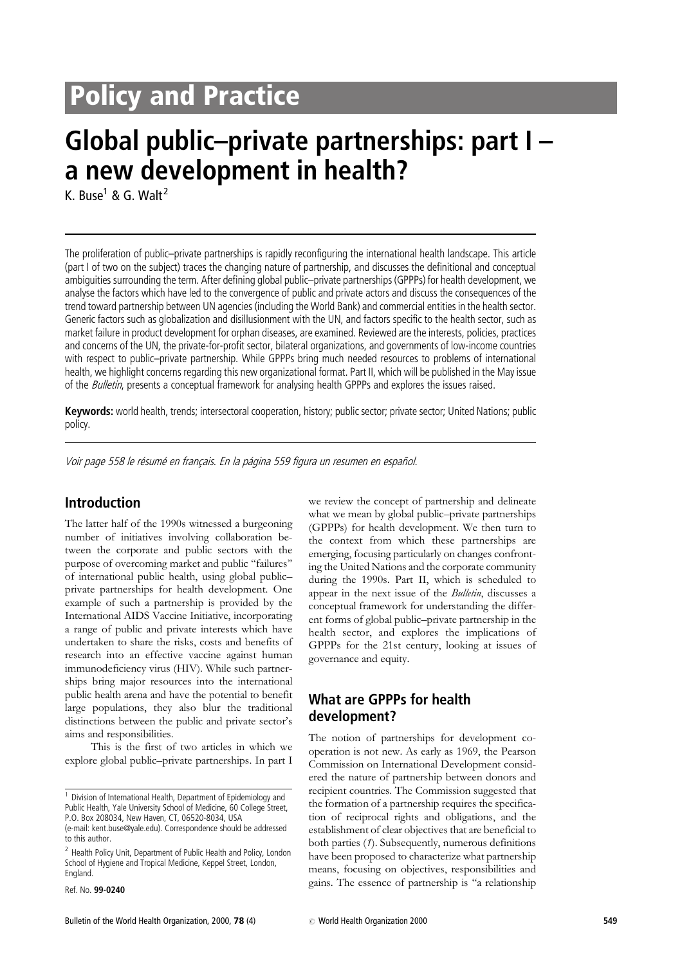# **Policy and Practice**

# Global public–private partnerships: part I – a new development in health?

K. Buse<sup>1</sup> & G. Walt<sup>2</sup>

The proliferation of public–private partnerships is rapidly reconfiguring the international health landscape. This article (part I of two on the subject) traces the changing nature of partnership, and discusses the definitional and conceptual ambiguities surrounding the term. After defining global public–private partnerships (GPPPs) for health development, we analyse the factors which have led to the convergence of public and private actors and discuss the consequences of the trend toward partnership between UN agencies (including the World Bank) and commercial entities in the health sector. Generic factors such as globalization and disillusionment with the UN, and factors specific to the health sector, such as market failure in product development for orphan diseases, are examined. Reviewed are the interests, policies, practices and concerns of the UN, the private-for-profit sector, bilateral organizations, and governments of low-income countries with respect to public–private partnership. While GPPPs bring much needed resources to problems of international health, we highlight concerns regarding this new organizational format. Part II, which will be published in the May issue of the *Bulletin*, presents a conceptual framework for analysing health GPPPs and explores the issues raised.

Keywords: world health, trends; intersectoral cooperation, history; public sector; private sector; United Nations; public policy.

Voir page 558 le résumé en français. En la página 559 figura un resumen en español.

## Introduction

The latter half of the 1990s witnessed a burgeoning number of initiatives involving collaboration between the corporate and public sectors with the purpose of overcoming market and public "failures" of international public health, using global public– private partnerships for health development. One example of such a partnership is provided by the International AIDS Vaccine Initiative, incorporating a range of public and private interests which have undertaken to share the risks, costs and benefits of research into an effective vaccine against human immunodeficiency virus (HIV). While such partnerships bring major resources into the international public health arena and have the potential to benefit large populations, they also blur the traditional distinctions between the public and private sector's aims and responsibilities.

This is the first of two articles in which we explore global public–private partnerships. In part I

<sup>2</sup> Health Policy Unit, Department of Public Health and Policy, London School of Hygiene and Tropical Medicine, Keppel Street, London, England.

Ref. No. 99-0240

we review the concept of partnership and delineate what we mean by global public–private partnerships (GPPPs) for health development. We then turn to the context from which these partnerships are emerging, focusing particularly on changes confronting the United Nations and the corporate community during the 1990s. Part II, which is scheduled to appear in the next issue of the *Bulletin*, discusses a conceptual framework for understanding the different forms of global public–private partnership in the health sector, and explores the implications of GPPPs for the 21st century, looking at issues of governance and equity.

## What are GPPPs for health development?

The notion of partnerships for development cooperation is not new. As early as 1969, the Pearson Commission on International Development considered the nature of partnership between donors and recipient countries. The Commission suggested that the formation of a partnership requires the specification of reciprocal rights and obligations, and the establishment of clear objectives that are beneficial to both parties (1). Subsequently, numerous definitions have been proposed to characterize what partnership means, focusing on objectives, responsibilities and gains. The essence of partnership is ''a relationship

<sup>&</sup>lt;sup>1</sup> Division of International Health, Department of Epidemiology and Public Health, Yale University School of Medicine, 60 College Street, P.O. Box 208034, New Haven, CT, 06520-8034, USA

<sup>(</sup>e-mail: kent.buse@yale.edu). Correspondence should be addressed to this author.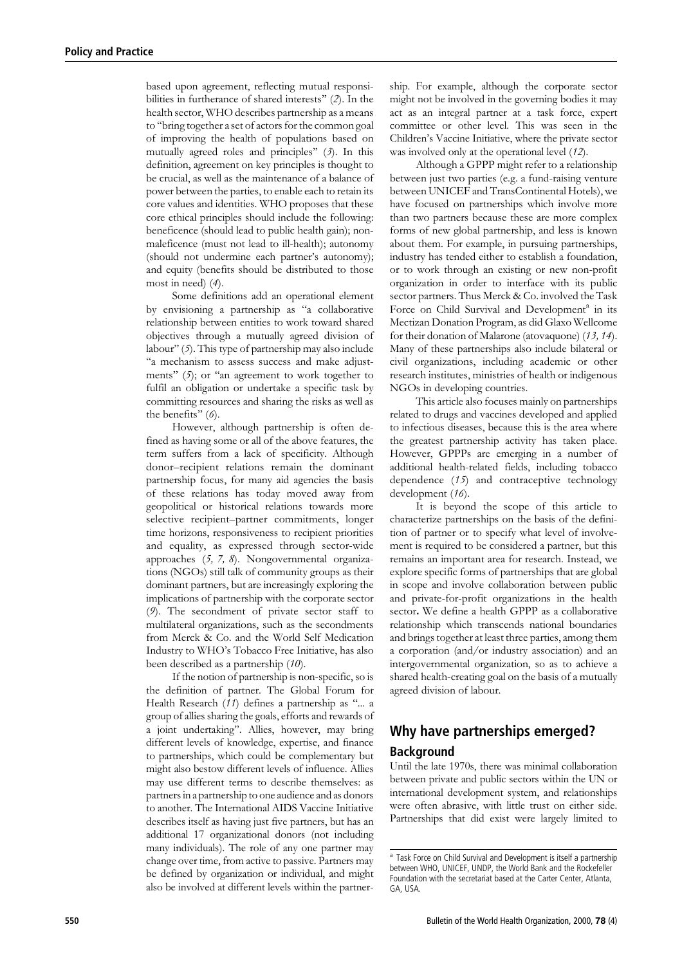based upon agreement, reflecting mutual responsibilities in furtherance of shared interests'' (2). In the health sector, WHO describes partnership as a means to ''bring together a set of actors for the common goal of improving the health of populations based on mutually agreed roles and principles'' (3). In this definition, agreement on key principles is thought to be crucial, as well as the maintenance of a balance of power between the parties, to enable each to retain its core values and identities. WHO proposes that these core ethical principles should include the following: beneficence (should lead to public health gain); nonmaleficence (must not lead to ill-health); autonomy (should not undermine each partner's autonomy); and equity (benefits should be distributed to those most in need) (4).

Some definitions add an operational element by envisioning a partnership as ''a collaborative relationship between entities to work toward shared objectives through a mutually agreed division of labour'' (5). This type of partnership may also include ''a mechanism to assess success and make adjustments" (5); or "an agreement to work together to fulfil an obligation or undertake a specific task by committing resources and sharing the risks as well as the benefits'' (6).

However, although partnership is often defined as having some or all of the above features, the term suffers from a lack of specificity. Although donor–recipient relations remain the dominant partnership focus, for many aid agencies the basis of these relations has today moved away from geopolitical or historical relations towards more selective recipient–partner commitments, longer time horizons, responsiveness to recipient priorities and equality, as expressed through sector-wide approaches (5, 7, 8). Nongovernmental organizations (NGOs) still talk of community groups as their dominant partners, but are increasingly exploring the implications of partnership with the corporate sector (9). The secondment of private sector staff to multilateral organizations, such as the secondments from Merck & Co. and the World Self Medication Industry to WHO's Tobacco Free Initiative, has also been described as a partnership (10).

If the notion of partnership is non-specific, so is the definition of partner. The Global Forum for Health Research (11) defines a partnership as "... a group of allies sharing the goals, efforts and rewards of a joint undertaking''. Allies, however, may bring different levels of knowledge, expertise, and finance to partnerships, which could be complementary but might also bestow different levels of influence. Allies may use different terms to describe themselves: as partners in a partnership to one audience and as donors to another. The International AIDS Vaccine Initiative describes itself as having just five partners, but has an additional 17 organizational donors (not including many individuals). The role of any one partner may change over time, from active to passive. Partners may be defined by organization or individual, and might also be involved at different levels within the partner-

ship. For example, although the corporate sector might not be involved in the governing bodies it may act as an integral partner at a task force, expert committee or other level. This was seen in the Children's Vaccine Initiative, where the private sector was involved only at the operational level (12).

Although a GPPP might refer to a relationship between just two parties (e.g. a fund-raising venture between UNICEF and TransContinental Hotels), we have focused on partnerships which involve more than two partners because these are more complex forms of new global partnership, and less is known about them. For example, in pursuing partnerships, industry has tended either to establish a foundation, or to work through an existing or new non-profit organization in order to interface with its public sector partners. Thus Merck & Co. involved the Task Force on Child Survival and Development<sup>a</sup> in its Mectizan Donation Program, as did Glaxo Wellcome for their donation of Malarone (atovaquone) (13, 14). Many of these partnerships also include bilateral or civil organizations, including academic or other research institutes, ministries of health or indigenous NGOs in developing countries.

This article also focuses mainly on partnerships related to drugs and vaccines developed and applied to infectious diseases, because this is the area where the greatest partnership activity has taken place. However, GPPPs are emerging in a number of additional health-related fields, including tobacco dependence (15) and contraceptive technology development (16).

It is beyond the scope of this article to characterize partnerships on the basis of the definition of partner or to specify what level of involvement is required to be considered a partner, but this remains an important area for research. Instead, we explore specific forms of partnerships that are global in scope and involve collaboration between public and private-for-profit organizations in the health sector. We define a health GPPP as a collaborative relationship which transcends national boundaries and brings together at least three parties, among them a corporation (and/or industry association) and an intergovernmental organization, so as to achieve a shared health-creating goal on the basis of a mutually agreed division of labour.

## Why have partnerships emerged? Background

Until the late 1970s, there was minimal collaboration between private and public sectors within the UN or international development system, and relationships were often abrasive, with little trust on either side. Partnerships that did exist were largely limited to

<sup>&</sup>lt;sup>a</sup> Task Force on Child Survival and Development is itself a partnership between WHO, UNICEF, UNDP, the World Bank and the Rockefeller Foundation with the secretariat based at the Carter Center, Atlanta, GA, USA.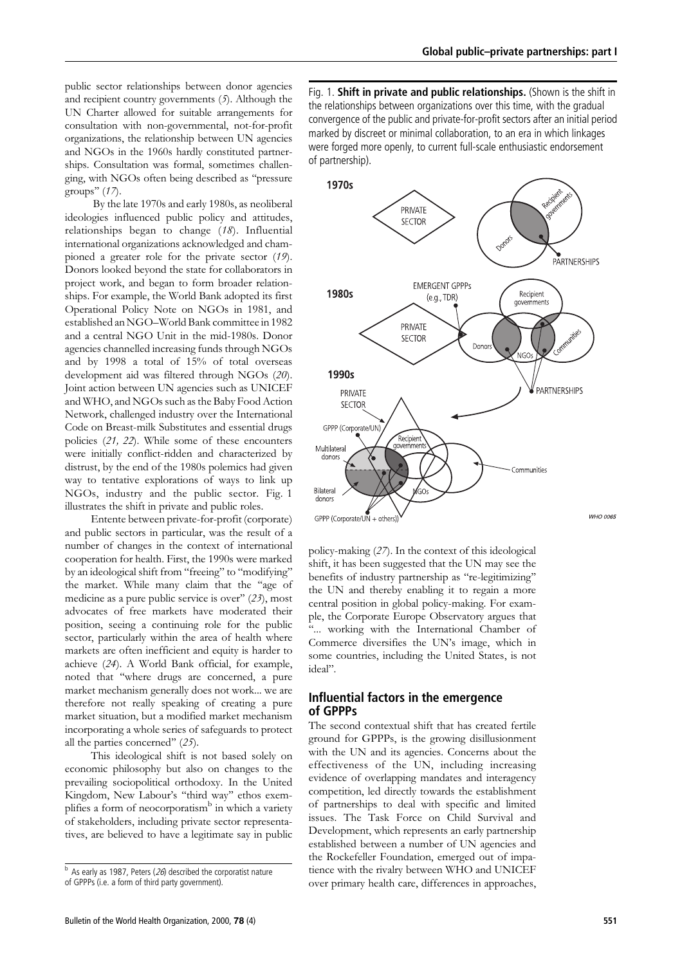public sector relationships between donor agencies and recipient country governments  $(5)$ . Although the UN Charter allowed for suitable arrangements for consultation with non-governmental, not-for-profit organizations, the relationship between UN agencies and NGOs in the 1960s hardly constituted partnerships. Consultation was formal, sometimes challenging, with NGOs often being described as ''pressure groups'' (17).

By the late 1970s and early 1980s, as neoliberal ideologies influenced public policy and attitudes, relationships began to change (18). Influential international organizations acknowledged and championed a greater role for the private sector (19). Donors looked beyond the state for collaborators in project work, and began to form broader relationships. For example, the World Bank adopted its first Operational Policy Note on NGOs in 1981, and established an NGO–World Bank committee in 1982 and a central NGO Unit in the mid-1980s. Donor agencies channelled increasing funds through NGOs and by 1998 a total of 15% of total overseas development aid was filtered through NGOs (20). Joint action between UN agencies such as UNICEF and WHO, and NGOs such as the Baby Food Action Network, challenged industry over the International Code on Breast-milk Substitutes and essential drugs policies (21, 22). While some of these encounters were initially conflict-ridden and characterized by distrust, by the end of the 1980s polemics had given way to tentative explorations of ways to link up NGOs, industry and the public sector. Fig. 1 illustrates the shift in private and public roles.

Entente between private-for-profit (corporate) and public sectors in particular, was the result of a number of changes in the context of international cooperation for health. First, the 1990s were marked by an ideological shift from ''freeing'' to ''modifying'' the market. While many claim that the ''age of medicine as a pure public service is over'' (23), most advocates of free markets have moderated their position, seeing a continuing role for the public sector, particularly within the area of health where markets are often inefficient and equity is harder to achieve (24). A World Bank official, for example, noted that ''where drugs are concerned, a pure market mechanism generally does not work... we are therefore not really speaking of creating a pure market situation, but a modified market mechanism incorporating a whole series of safeguards to protect all the parties concerned'' (25).

This ideological shift is not based solely on economic philosophy but also on changes to the prevailing sociopolitical orthodoxy. In the United Kingdom, New Labour's "third way" ethos exemplifies a form of neocorporatism<sup>b</sup> in which a variety of stakeholders, including private sector representatives, are believed to have a legitimate say in public

Fig. 1. Shift in private and public relationships. (Shown is the shift in the relationships between organizations over this time, with the gradual convergence of the public and private-for-profit sectors after an initial period marked by discreet or minimal collaboration, to an era in which linkages were forged more openly, to current full-scale enthusiastic endorsement of partnership).



policy-making (27). In the context of this ideological shift, it has been suggested that the UN may see the benefits of industry partnership as ''re-legitimizing'' the UN and thereby enabling it to regain a more central position in global policy-making. For example, the Corporate Europe Observatory argues that ''... working with the International Chamber of Commerce diversifies the UN's image, which in some countries, including the United States, is not ideal''.

## Influential factors in the emergence of GPPPs

The second contextual shift that has created fertile ground for GPPPs, is the growing disillusionment with the UN and its agencies. Concerns about the effectiveness of the UN, including increasing evidence of overlapping mandates and interagency competition, led directly towards the establishment of partnerships to deal with specific and limited issues. The Task Force on Child Survival and Development, which represents an early partnership established between a number of UN agencies and the Rockefeller Foundation, emerged out of impatience with the rivalry between WHO and UNICEF over primary health care, differences in approaches,

 $<sup>b</sup>$  As early as 1987, Peters (26) described the corporatist nature</sup> of GPPPs (i.e. a form of third party government).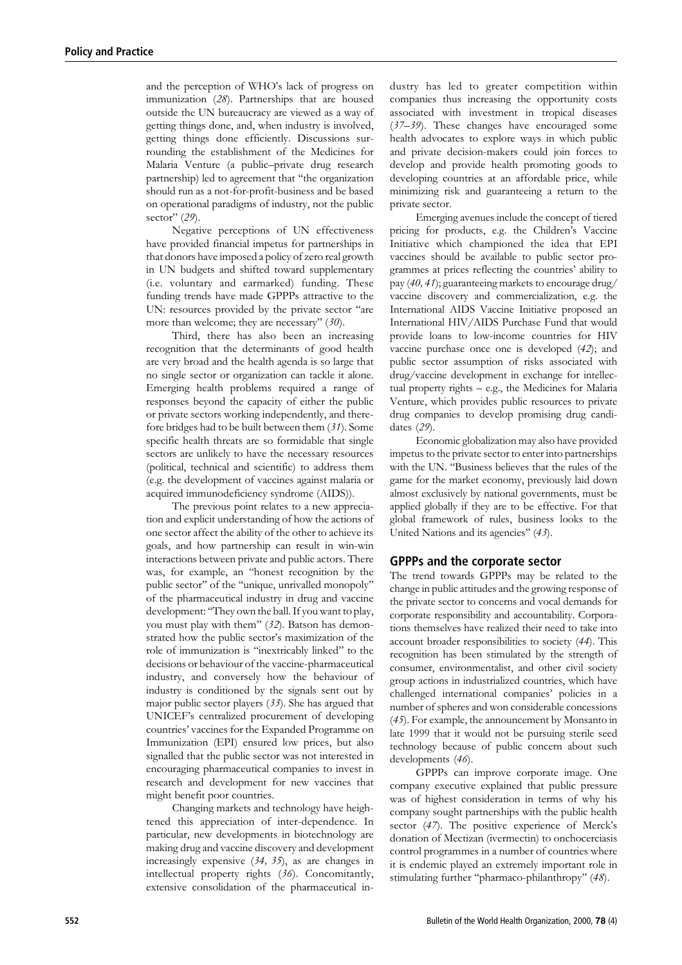and the perception of WHO's lack of progress on immunization (28). Partnerships that are housed outside the UN bureaucracy are viewed as a way of getting things done, and, when industry is involved, getting things done efficiently. Discussions surrounding the establishment of the Medicines for Malaria Venture (a public–private drug research partnership) led to agreement that ''the organization should run as a not-for-profit-business and be based on operational paradigms of industry, not the public sector" (29).

Negative perceptions of UN effectiveness have provided financial impetus for partnerships in that donors have imposed a policy of zero real growth in UN budgets and shifted toward supplementary (i.e. voluntary and earmarked) funding. These funding trends have made GPPPs attractive to the UN: resources provided by the private sector ''are more than welcome; they are necessary" (30).

Third, there has also been an increasing recognition that the determinants of good health are very broad and the health agenda is so large that no single sector or organization can tackle it alone. Emerging health problems required a range of responses beyond the capacity of either the public or private sectors working independently, and therefore bridges had to be built between them (31). Some specific health threats are so formidable that single sectors are unlikely to have the necessary resources (political, technical and scientific) to address them (e.g. the development of vaccines against malaria or acquired immunodeficiency syndrome (AIDS)).

The previous point relates to a new appreciation and explicit understanding of how the actions of one sector affect the ability of the other to achieve its goals, and how partnership can result in win-win interactions between private and public actors. There was, for example, an ''honest recognition by the public sector'' of the ''unique, unrivalled monopoly'' of the pharmaceutical industry in drug and vaccine development: ''They own the ball. If you want to play, you must play with them" (32). Batson has demonstrated how the public sector's maximization of the role of immunization is ''inextricably linked'' to the decisions or behaviour of the vaccine-pharmaceutical industry, and conversely how the behaviour of industry is conditioned by the signals sent out by major public sector players (33). She has argued that UNICEF's centralized procurement of developing countries' vaccines for the Expanded Programme on Immunization (EPI) ensured low prices, but also signalled that the public sector was not interested in encouraging pharmaceutical companies to invest in research and development for new vaccines that might benefit poor countries.

Changing markets and technology have heightened this appreciation of inter-dependence. In particular, new developments in biotechnology are making drug and vaccine discovery and development increasingly expensive (34, 35), as are changes in intellectual property rights (36). Concomitantly, extensive consolidation of the pharmaceutical industry has led to greater competition within companies thus increasing the opportunity costs associated with investment in tropical diseases  $(37–39)$ . These changes have encouraged some health advocates to explore ways in which public and private decision-makers could join forces to develop and provide health promoting goods to developing countries at an affordable price, while minimizing risk and guaranteeing a return to the private sector.

Emerging avenues include the concept of tiered pricing for products, e.g. the Children's Vaccine Initiative which championed the idea that EPI vaccines should be available to public sector programmes at prices reflecting the countries' ability to pay (40, 41); guaranteeing markets to encourage drug/ vaccine discovery and commercialization, e.g. the International AIDS Vaccine Initiative proposed an International HIV/AIDS Purchase Fund that would provide loans to low-income countries for HIV vaccine purchase once one is developed (42); and public sector assumption of risks associated with drug/vaccine development in exchange for intellectual property rights – e.g., the Medicines for Malaria Venture, which provides public resources to private drug companies to develop promising drug candidates (29).

Economic globalization may also have provided impetus to the private sector to enter into partnerships with the UN. ''Business believes that the rules of the game for the market economy, previously laid down almost exclusively by national governments, must be applied globally if they are to be effective. For that global framework of rules, business looks to the United Nations and its agencies" (43).

### GPPPs and the corporate sector

The trend towards GPPPs may be related to the change in public attitudes and the growing response of the private sector to concerns and vocal demands for corporate responsibility and accountability. Corporations themselves have realized their need to take into account broader responsibilities to society (44). This recognition has been stimulated by the strength of consumer, environmentalist, and other civil society group actions in industrialized countries, which have challenged international companies' policies in a number of spheres and won considerable concessions (45). For example, the announcement by Monsanto in late 1999 that it would not be pursuing sterile seed technology because of public concern about such developments (46).

GPPPs can improve corporate image. One company executive explained that public pressure was of highest consideration in terms of why his company sought partnerships with the public health sector (47). The positive experience of Merck's donation of Mectizan (ivermectin) to onchocerciasis control programmes in a number of countries where it is endemic played an extremely important role in stimulating further ''pharmaco-philanthropy'' (48).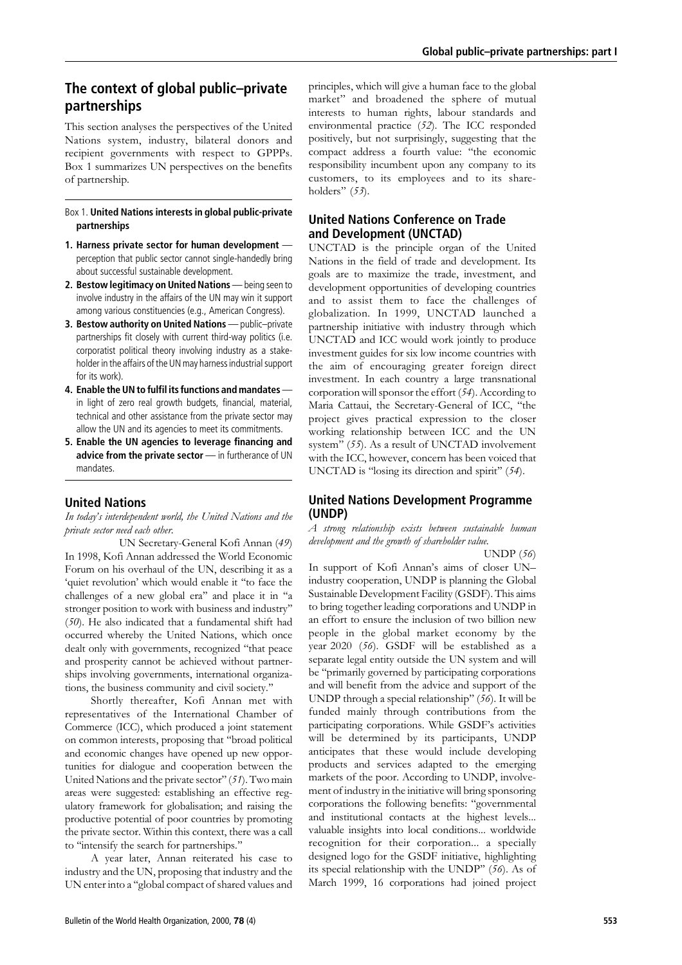## The context of global public–private partnerships

This section analyses the perspectives of the United Nations system, industry, bilateral donors and recipient governments with respect to GPPPs. Box 1 summarizes UN perspectives on the benefits of partnership.

## Box 1. United Nations interests in global public-private partnerships

- 1. Harness private sector for human development perception that public sector cannot single-handedly bring about successful sustainable development.
- 2. Bestow legitimacy on United Nations being seen to involve industry in the affairs of the UN may win it support among various constituencies (e.g., American Congress).
- 3. Bestow authority on United Nations public–private partnerships fit closely with current third-way politics (i.e. corporatist political theory involving industry as a stakeholder in the affairs of the UN may harness industrial support for its work).
- 4. Enable the UN to fulfil its functions and mandates in light of zero real growth budgets, financial, material, technical and other assistance from the private sector may allow the UN and its agencies to meet its commitments.
- 5. Enable the UN agencies to leverage financing and advice from the private sector - in furtherance of UN mandates.

## United Nations

In today's interdependent world, the United Nations and the private sector need each other.

UN Secretary-General Kofi Annan (49) In 1998, Kofi Annan addressed the World Economic Forum on his overhaul of the UN, describing it as a 'quiet revolution' which would enable it ''to face the challenges of a new global era'' and place it in ''a stronger position to work with business and industry'' (50). He also indicated that a fundamental shift had occurred whereby the United Nations, which once dealt only with governments, recognized ''that peace and prosperity cannot be achieved without partnerships involving governments, international organizations, the business community and civil society.''

Shortly thereafter, Kofi Annan met with representatives of the International Chamber of Commerce (ICC), which produced a joint statement on common interests, proposing that ''broad political and economic changes have opened up new opportunities for dialogue and cooperation between the United Nations and the private sector" (51). Two main areas were suggested: establishing an effective regulatory framework for globalisation; and raising the productive potential of poor countries by promoting the private sector. Within this context, there was a call to ''intensify the search for partnerships.''

A year later, Annan reiterated his case to industry and the UN, proposing that industry and the UN enter into a ''global compact of shared values and principles, which will give a human face to the global market'' and broadened the sphere of mutual interests to human rights, labour standards and environmental practice (52). The ICC responded positively, but not surprisingly, suggesting that the compact address a fourth value: ''the economic responsibility incumbent upon any company to its customers, to its employees and to its shareholders" (53).

## United Nations Conference on Trade and Development (UNCTAD)

UNCTAD is the principle organ of the United Nations in the field of trade and development. Its goals are to maximize the trade, investment, and development opportunities of developing countries and to assist them to face the challenges of globalization. In 1999, UNCTAD launched a partnership initiative with industry through which UNCTAD and ICC would work jointly to produce investment guides for six low income countries with the aim of encouraging greater foreign direct investment. In each country a large transnational corporation will sponsor the effort (54). According to Maria Cattaui, the Secretary-General of ICC, ''the project gives practical expression to the closer working relationship between ICC and the UN system" (55). As a result of UNCTAD involvement with the ICC, however, concern has been voiced that UNCTAD is "losing its direction and spirit" (54).

## United Nations Development Programme (UNDP)

### A strong relationship exists between sustainable human development and the growth of shareholder value.

UNDP (56)

In support of Kofi Annan's aims of closer UN– industry cooperation, UNDP is planning the Global Sustainable Development Facility (GSDF). This aims to bring together leading corporations and UNDP in an effort to ensure the inclusion of two billion new people in the global market economy by the year 2020 (56). GSDF will be established as a separate legal entity outside the UN system and will be ''primarily governed by participating corporations and will benefit from the advice and support of the UNDP through a special relationship'' (56). It will be funded mainly through contributions from the participating corporations. While GSDF's activities will be determined by its participants, UNDP anticipates that these would include developing products and services adapted to the emerging markets of the poor. According to UNDP, involvement of industry in the initiative will bring sponsoring corporations the following benefits: ''governmental and institutional contacts at the highest levels... valuable insights into local conditions... worldwide recognition for their corporation... a specially designed logo for the GSDF initiative, highlighting its special relationship with the UNDP'' (56). As of March 1999, 16 corporations had joined project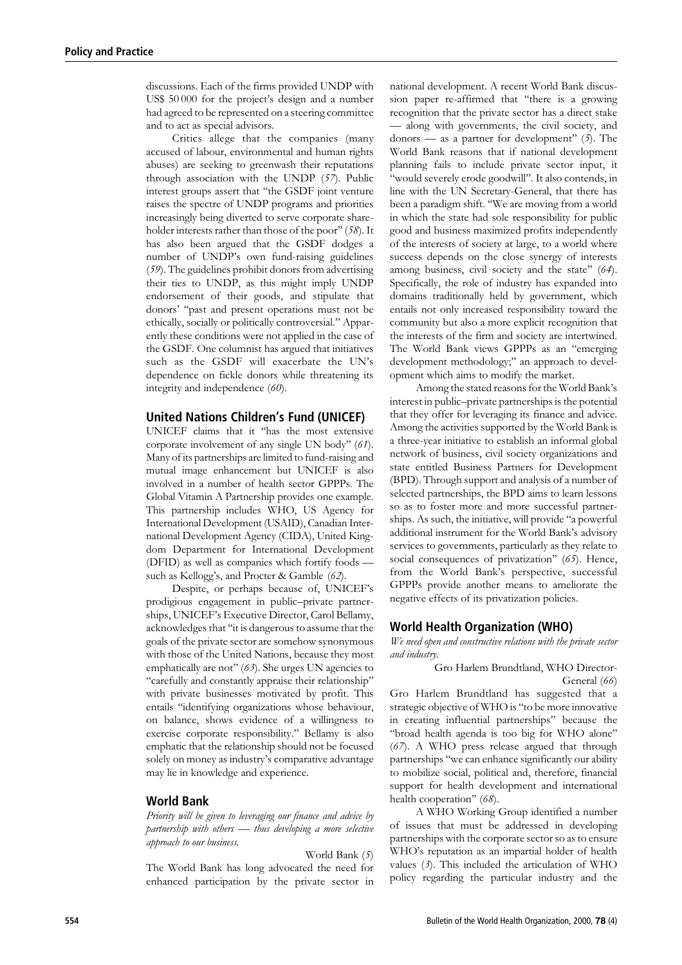discussions. Each of the firms provided UNDP with US\$ 50 000 for the project's design and a number had agreed to be represented on a steering committee and to act as special advisors.

Critics allege that the companies (many accused of labour, environmental and human rights abuses) are seeking to greenwash their reputations through association with the UNDP (57). Public interest groups assert that ''the GSDF joint venture raises the spectre of UNDP programs and priorities increasingly being diverted to serve corporate shareholder interests rather than those of the poor'' (58). It has also been argued that the GSDF dodges a number of UNDP's own fund-raising guidelines (59). The guidelines prohibit donors from advertising their ties to UNDP, as this might imply UNDP endorsement of their goods, and stipulate that donors' ''past and present operations must not be ethically, socially or politically controversial.'' Apparently these conditions were not applied in the case of the GSDF. One columnist has argued that initiatives such as the GSDF will exacerbate the UN's dependence on fickle donors while threatening its integrity and independence (60).

## United Nations Children's Fund (UNICEF)

UNICEF claims that it ''has the most extensive corporate involvement of any single UN body'' (61). Many of its partnerships are limited to fund-raising and mutual image enhancement but UNICEF is also involved in a number of health sector GPPPs. The Global Vitamin A Partnership provides one example. This partnership includes WHO, US Agency for International Development (USAID), Canadian International Development Agency (CIDA), United Kingdom Department for International Development (DFID) as well as companies which fortify foods such as Kellogg's, and Procter & Gamble (62).

Despite, or perhaps because of, UNICEF's prodigious engagement in public–private partnerships, UNICEF's Executive Director, Carol Bellamy, acknowledges that ''it is dangerous to assume that the goals of the private sector are somehow synonymous with those of the United Nations, because they most emphatically are not" (63). She urges UN agencies to ''carefully and constantly appraise their relationship'' with private businesses motivated by profit. This entails ''identifying organizations whose behaviour, on balance, shows evidence of a willingness to exercise corporate responsibility.'' Bellamy is also emphatic that the relationship should not be focused solely on money as industry's comparative advantage may lie in knowledge and experience.

### World Bank

Priority will be given to leveraging our finance and advice by partnership with others — thus developing a more selective approach to our business.

World Bank (5) The World Bank has long advocated the need for enhanced participation by the private sector in

national development. A recent World Bank discussion paper re-affirmed that ''there is a growing recognition that the private sector has a direct stake — along with governments, the civil society, and donors — as a partner for development"  $(5)$ . The World Bank reasons that if national development planning fails to include private sector input, it ''would severely erode goodwill''. It also contends, in line with the UN Secretary-General, that there has been a paradigm shift. ''We are moving from a world in which the state had sole responsibility for public good and business maximized profits independently of the interests of society at large, to a world where success depends on the close synergy of interests among business, civil society and the state'' (64). Specifically, the role of industry has expanded into domains traditionally held by government, which entails not only increased responsibility toward the community but also a more explicit recognition that the interests of the firm and society are intertwined. The World Bank views GPPPs as an ''emerging development methodology;'' an approach to development which aims to modify the market.

Among the stated reasons for the World Bank's interest in public–private partnerships is the potential that they offer for leveraging its finance and advice. Among the activities supported by the World Bank is a three-year initiative to establish an informal global network of business, civil society organizations and state entitled Business Partners for Development (BPD). Through support and analysis of a number of selected partnerships, the BPD aims to learn lessons so as to foster more and more successful partnerships. As such, the initiative, will provide ''a powerful additional instrument for the World Bank's advisory services to governments, particularly as they relate to social consequences of privatization" (65). Hence, from the World Bank's perspective, successful GPPPs provide another means to ameliorate the negative effects of its privatization policies.

### World Health Organization (WHO)

We need open and constructive relations with the private sector and industry.

Gro Harlem Brundtland, WHO Director-General (66) Gro Harlem Brundtland has suggested that a strategic objective of WHO is "to be more innovative in creating influential partnerships'' because the "broad health agenda is too big for WHO alone"  $(67)$ . A WHO press release argued that through partnerships ''we can enhance significantly our ability to mobilize social, political and, therefore, financial support for health development and international health cooperation" (68).

A WHO Working Group identified a number of issues that must be addressed in developing partnerships with the corporate sector so as to ensure WHO's reputation as an impartial holder of health values  $(3)$ . This included the articulation of WHO policy regarding the particular industry and the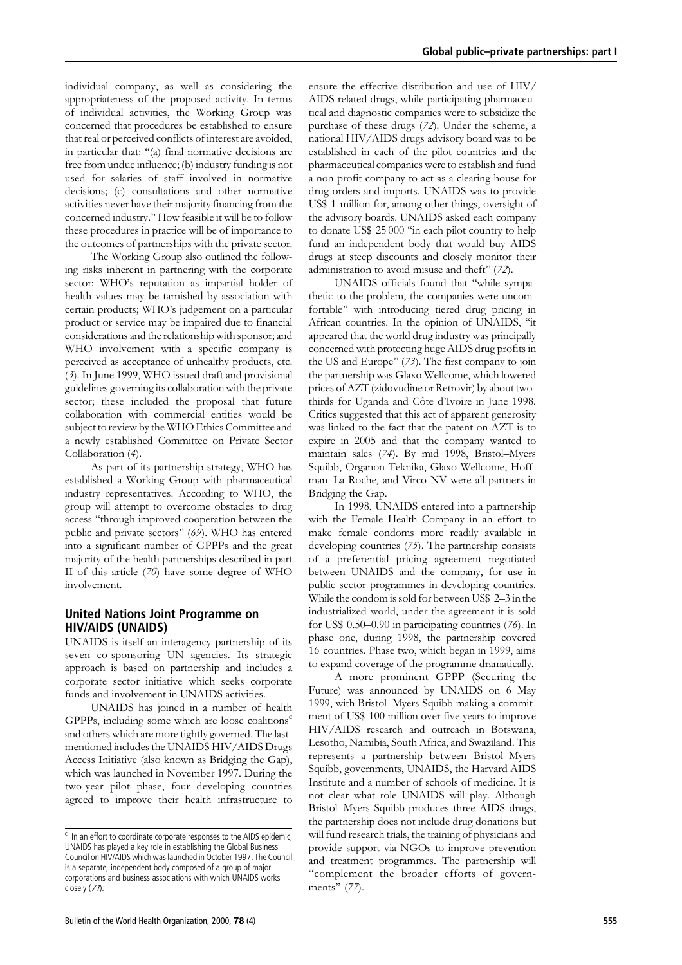individual company, as well as considering the appropriateness of the proposed activity. In terms of individual activities, the Working Group was concerned that procedures be established to ensure that real or perceived conflicts of interest are avoided, in particular that: ''(a) final normative decisions are free from undue influence; (b) industry funding is not used for salaries of staff involved in normative decisions; (c) consultations and other normative activities never have their majority financing from the concerned industry.'' How feasible it will be to follow these procedures in practice will be of importance to the outcomes of partnerships with the private sector.

The Working Group also outlined the following risks inherent in partnering with the corporate sector: WHO's reputation as impartial holder of health values may be tarnished by association with certain products; WHO's judgement on a particular product or service may be impaired due to financial considerations and the relationship with sponsor; and WHO involvement with a specific company is perceived as acceptance of unhealthy products, etc. (3). In June 1999, WHO issued draft and provisional guidelines governing its collaboration with the private sector; these included the proposal that future collaboration with commercial entities would be subject to review by the WHOEthics Committee and a newly established Committee on Private Sector Collaboration (4).

As part of its partnership strategy, WHO has established a Working Group with pharmaceutical industry representatives. According to WHO, the group will attempt to overcome obstacles to drug access ''through improved cooperation between the public and private sectors" (69). WHO has entered into a significant number of GPPPs and the great majority of the health partnerships described in part II of this article (70) have some degree of WHO involvement.

## United Nations Joint Programme on HIV/AIDS (UNAIDS)

UNAIDS is itself an interagency partnership of its seven co-sponsoring UN agencies. Its strategic approach is based on partnership and includes a corporate sector initiative which seeks corporate funds and involvement in UNAIDS activities.

UNAIDS has joined in a number of health GPPPs, including some which are loose coalitions $\text{c}$ and others which are more tightly governed. The lastmentioned includes the UNAIDS HIV/AIDS Drugs Access Initiative (also known as Bridging the Gap), which was launched in November 1997. During the two-year pilot phase, four developing countries agreed to improve their health infrastructure to

Bulletin of the World Health Organization, 2000, 78 (4) 555 September 2008, 565 September 2012 555 September 2013

ensure the effective distribution and use of HIV/ AIDS related drugs, while participating pharmaceutical and diagnostic companies were to subsidize the purchase of these drugs (72). Under the scheme, a national HIV/AIDS drugs advisory board was to be established in each of the pilot countries and the pharmaceutical companies were to establish and fund a non-profit company to act as a clearing house for drug orders and imports. UNAIDS was to provide US\$ 1 million for, among other things, oversight of the advisory boards. UNAIDS asked each company to donate US\$ 25 000 ''in each pilot country to help fund an independent body that would buy AIDS drugs at steep discounts and closely monitor their administration to avoid misuse and theft'' (72).

UNAIDS officials found that ''while sympathetic to the problem, the companies were uncomfortable'' with introducing tiered drug pricing in African countries. In the opinion of UNAIDS, ''it appeared that the world drug industry was principally concerned with protecting huge AIDS drug profits in the US and Europe" (73). The first company to join the partnership was Glaxo Wellcome, which lowered prices of AZT (zidovudine or Retrovir) by about twothirds for Uganda and Côte d'Ivoire in June 1998. Critics suggested that this act of apparent generosity was linked to the fact that the patent on AZT is to expire in 2005 and that the company wanted to maintain sales (74). By mid 1998, Bristol–Myers Squibb, Organon Teknika, Glaxo Wellcome, Hoffman–La Roche, and Virco NV were all partners in Bridging the Gap.

In 1998, UNAIDS entered into a partnership with the Female Health Company in an effort to make female condoms more readily available in developing countries (75). The partnership consists of a preferential pricing agreement negotiated between UNAIDS and the company, for use in public sector programmes in developing countries. While the condom is sold for between US\$ 2–3 in the industrialized world, under the agreement it is sold for US\$ 0.50–0.90 in participating countries (76). In phase one, during 1998, the partnership covered 16 countries. Phase two, which began in 1999, aims to expand coverage of the programme dramatically.

A more prominent GPPP (Securing the Future) was announced by UNAIDS on 6 May 1999, with Bristol–Myers Squibb making a commitment of US\$ 100 million over five years to improve HIV/AIDS research and outreach in Botswana, Lesotho, Namibia, South Africa, and Swaziland. This represents a partnership between Bristol–Myers Squibb, governments, UNAIDS, the Harvard AIDS Institute and a number of schools of medicine. It is not clear what role UNAIDS will play. Although Bristol–Myers Squibb produces three AIDS drugs, the partnership does not include drug donations but will fund research trials, the training of physicians and provide support via NGOs to improve prevention and treatment programmes. The partnership will ''complement the broader efforts of governments" (77).

 $\epsilon$  In an effort to coordinate corporate responses to the AIDS epidemic. UNAIDS has played a key role in establishing the Global Business Council on HIV/AIDS which was launched in October 1997. The Council is a separate, independent body composed of a group of major corporations and business associations with which UNAIDS works closely (71).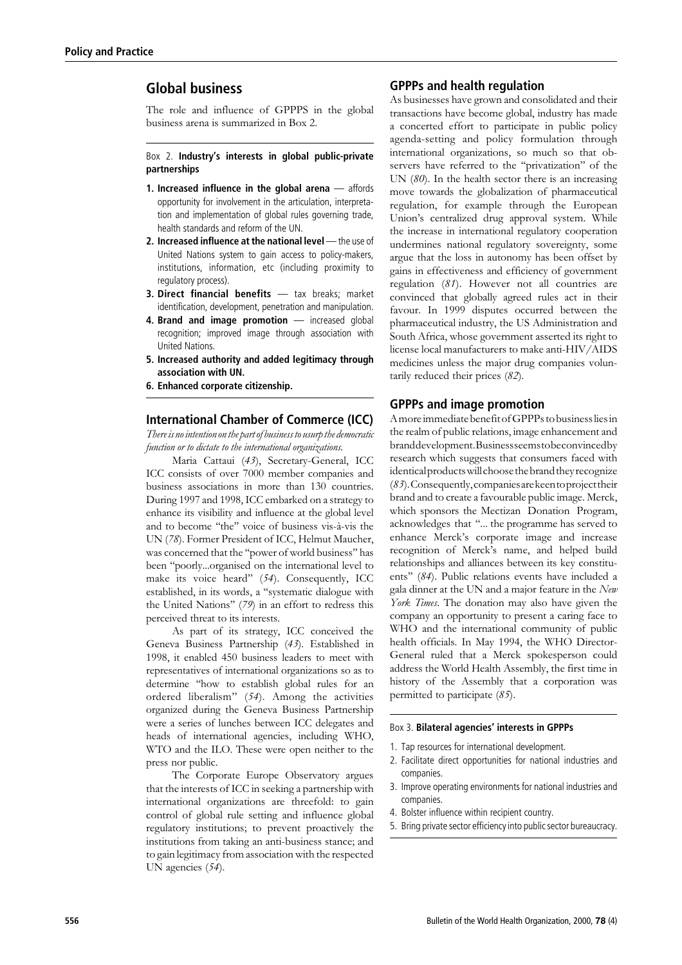## Global business

The role and influence of GPPPS in the global business arena is summarized in Box 2.

## Box 2. Industry's interests in global public-private partnerships

- 1. Increased influence in the global arena affords opportunity for involvement in the articulation, interpretation and implementation of global rules governing trade, health standards and reform of the UN.
- 2. Increased influence at the national level the use of United Nations system to gain access to policy-makers, institutions, information, etc (including proximity to regulatory process).
- 3. Direct financial benefits tax breaks; market identification, development, penetration and manipulation.
- 4. Brand and image promotion increased global recognition; improved image through association with United Nations.
- 5. Increased authority and added legitimacy through association with UN.
- 6. Enhanced corporate citizenship.

## International Chamber of Commerce (ICC)

There is no intention on the part of business to usurp the democratic function or to dictate to the international organizations.

Maria Cattaui (43), Secretary-General, ICC ICC consists of over 7000 member companies and business associations in more than 130 countries. During 1997 and 1998, ICC embarked on a strategy to enhance its visibility and influence at the global level and to become "the" voice of business vis-à-vis the UN (78). Former President of ICC, Helmut Maucher, was concerned that the ''power of world business'' has been ''poorly...organised on the international level to make its voice heard'' (54). Consequently, ICC established, in its words, a ''systematic dialogue with the United Nations'' (79) in an effort to redress this perceived threat to its interests.

As part of its strategy, ICC conceived the Geneva Business Partnership (43). Established in 1998, it enabled 450 business leaders to meet with representatives of international organizations so as to determine ''how to establish global rules for an ordered liberalism'' (54). Among the activities organized during the Geneva Business Partnership were a series of lunches between ICC delegates and heads of international agencies, including WHO, WTOand the ILO. These were open neither to the press nor public.

The Corporate Europe Observatory argues that the interests of ICC in seeking a partnership with international organizations are threefold: to gain control of global rule setting and influence global regulatory institutions; to prevent proactively the institutions from taking an anti-business stance; and to gain legitimacy from association with the respected UN agencies (54).

## GPPPs and health regulation

As businesses have grown and consolidated and their transactions have become global, industry has made a concerted effort to participate in public policy agenda-setting and policy formulation through international organizations, so much so that observers have referred to the ''privatization'' of the UN  $(80)$ . In the health sector there is an increasing move towards the globalization of pharmaceutical regulation, for example through the European Union's centralized drug approval system. While the increase in international regulatory cooperation undermines national regulatory sovereignty, some argue that the loss in autonomy has been offset by gains in effectiveness and efficiency of government regulation (81). However not all countries are convinced that globally agreed rules act in their favour. In 1999 disputes occurred between the pharmaceutical industry, the US Administration and South Africa, whose government asserted its right to license local manufacturers to make anti-HIV/AIDS medicines unless the major drug companies voluntarily reduced their prices (82).

### GPPPs and image promotion

Amoreimmediate benefit ofGPPPsto businesslies in the realm of public relations, image enhancement and branddevelopment.Businessseemstobeconvincedby research which suggests that consumers faced with identicalproductswillchoosethebrandthey recognize (83).Consequently,companiesarekeentoprojecttheir brand and to create a favourable public image. Merck, which sponsors the Mectizan Donation Program, acknowledges that ''... the programme has served to enhance Merck's corporate image and increase recognition of Merck's name, and helped build relationships and alliances between its key constituents'' (84). Public relations events have included a gala dinner at the UN and a major feature in the New York Times. The donation may also have given the company an opportunity to present a caring face to WHO and the international community of public health officials. In May 1994, the WHO Director-General ruled that a Merck spokesperson could address the World Health Assembly, the first time in history of the Assembly that a corporation was permitted to participate (85).

#### Box 3. Bilateral agencies' interests in GPPPs

- 1. Tap resources for international development.
- 2. Facilitate direct opportunities for national industries and companies.
- 3. Improve operating environments for national industries and companies.
- 4. Bolster influence within recipient country.
- 5. Bring private sector efficiency into public sector bureaucracy.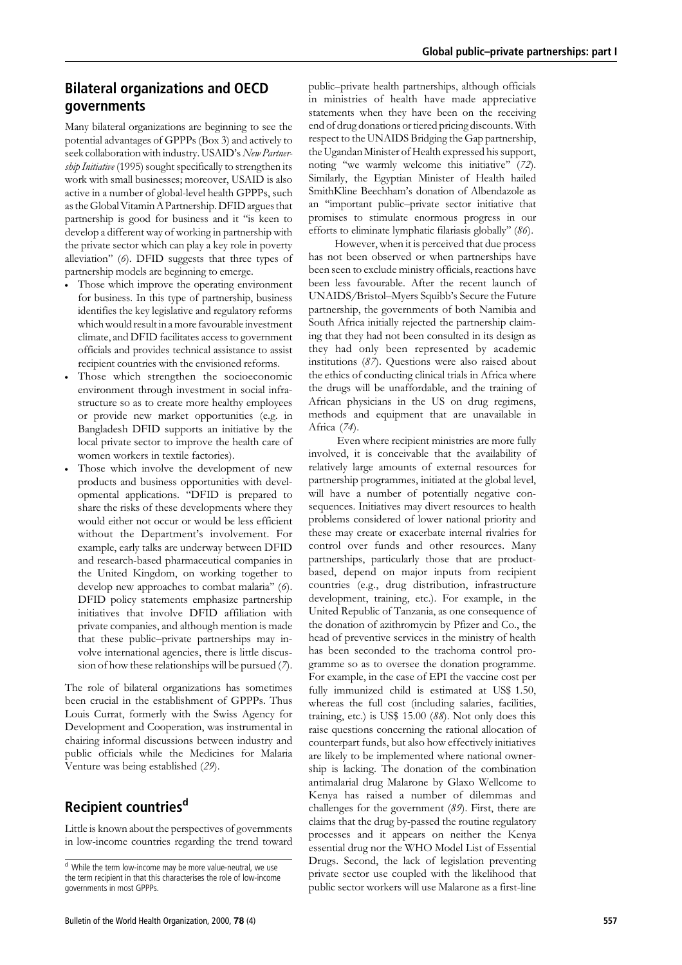## Bilateral organizations and OECD governments

Many bilateral organizations are beginning to see the potential advantages of GPPPs (Box 3) and actively to seek collaboration with industry. USAID's New Partnership Initiative (1995) sought specifically to strengthen its work with small businesses; moreover, USAID is also active in a number of global-level health GPPPs, such as the Global Vitamin A Partnership. DFID argues that partnership is good for business and it ''is keen to develop a different way of working in partnership with the private sector which can play a key role in poverty alleviation'' (6). DFID suggests that three types of partnership models are beginning to emerge.

- . Those which improve the operating environment for business. In this type of partnership, business identifies the key legislative and regulatory reforms which would result in a more favourable investment climate, and DFID facilitates access to government officials and provides technical assistance to assist recipient countries with the envisioned reforms.
- . Those which strengthen the socioeconomic environment through investment in social infrastructure so as to create more healthy employees or provide new market opportunities (e.g. in Bangladesh DFID supports an initiative by the local private sector to improve the health care of women workers in textile factories).
- . Those which involve the development of new products and business opportunities with developmental applications. ''DFID is prepared to share the risks of these developments where they would either not occur or would be less efficient without the Department's involvement. For example, early talks are underway between DFID and research-based pharmaceutical companies in the United Kingdom, on working together to develop new approaches to combat malaria'' (6). DFID policy statements emphasize partnership initiatives that involve DFID affiliation with private companies, and although mention is made that these public–private partnerships may involve international agencies, there is little discussion of how these relationships will be pursued (7).

The role of bilateral organizations has sometimes been crucial in the establishment of GPPPs. Thus Louis Currat, formerly with the Swiss Agency for Development and Cooperation, was instrumental in chairing informal discussions between industry and public officials while the Medicines for Malaria Venture was being established (29).

## Recipient countries<sup>d</sup>

Little is known about the perspectives of governments in low-income countries regarding the trend toward public–private health partnerships, although officials in ministries of health have made appreciative statements when they have been on the receiving end of drug donations or tiered pricing discounts. With respect to the UNAIDS Bridging the Gap partnership, the Ugandan Minister of Health expressed his support, noting "we warmly welcome this initiative" (72). Similarly, the Egyptian Minister of Health hailed SmithKline Beechham's donation of Albendazole as an ''important public–private sector initiative that promises to stimulate enormous progress in our efforts to eliminate lymphatic filariasis globally'' (86).

However, when it is perceived that due process has not been observed or when partnerships have been seen to exclude ministry officials, reactions have been less favourable. After the recent launch of UNAIDS/Bristol–Myers Squibb's Secure the Future partnership, the governments of both Namibia and South Africa initially rejected the partnership claiming that they had not been consulted in its design as they had only been represented by academic institutions (87). Questions were also raised about the ethics of conducting clinical trials in Africa where the drugs will be unaffordable, and the training of African physicians in the US on drug regimens, methods and equipment that are unavailable in Africa (74).

Even where recipient ministries are more fully involved, it is conceivable that the availability of relatively large amounts of external resources for partnership programmes, initiated at the global level, will have a number of potentially negative consequences. Initiatives may divert resources to health problems considered of lower national priority and these may create or exacerbate internal rivalries for control over funds and other resources. Many partnerships, particularly those that are productbased, depend on major inputs from recipient countries (e.g., drug distribution, infrastructure development, training, etc.). For example, in the United Republic of Tanzania, as one consequence of the donation of azithromycin by Pfizer and Co., the head of preventive services in the ministry of health has been seconded to the trachoma control programme so as to oversee the donation programme. For example, in the case of EPI the vaccine cost per fully immunized child is estimated at US\$ 1.50, whereas the full cost (including salaries, facilities, training, etc.) is US\$ 15.00 (88). Not only does this raise questions concerning the rational allocation of counterpart funds, but also how effectively initiatives are likely to be implemented where national ownership is lacking. The donation of the combination antimalarial drug Malarone by Glaxo Wellcome to Kenya has raised a number of dilemmas and challenges for the government (89). First, there are claims that the drug by-passed the routine regulatory processes and it appears on neither the Kenya essential drug nor the WHO Model List of Essential Drugs. Second, the lack of legislation preventing private sector use coupled with the likelihood that public sector workers will use Malarone as a first-line

<sup>d</sup> While the term low-income may be more value-neutral, we use the term recipient in that this characterises the role of low-income governments in most GPPPs.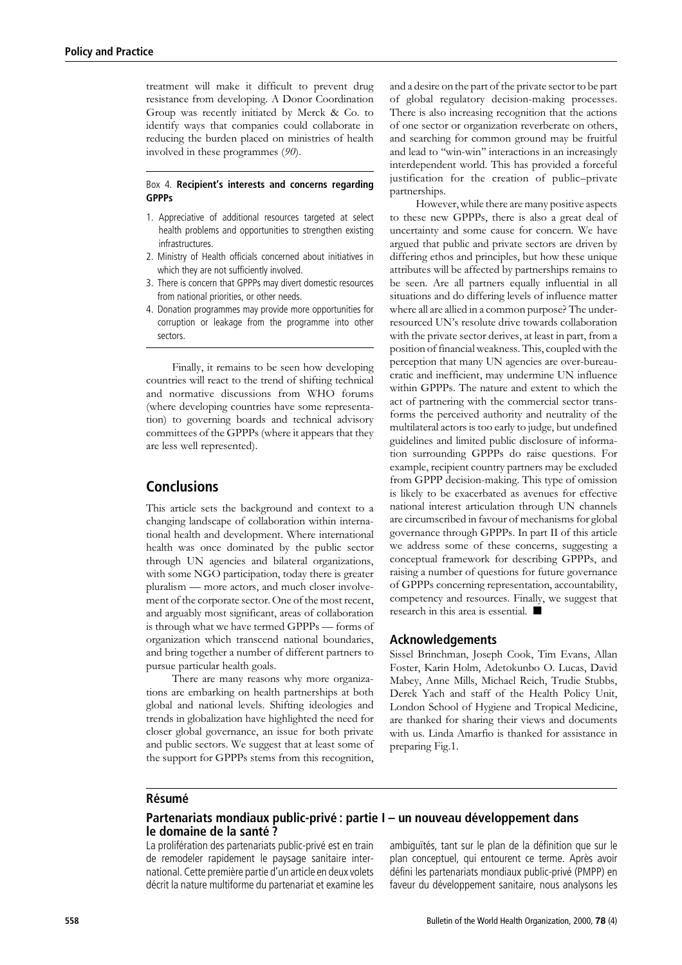treatment will make it difficult to prevent drug resistance from developing. A Donor Coordination Group was recently initiated by Merck & Co. to identify ways that companies could collaborate in reducing the burden placed on ministries of health involved in these programmes (90).

### Box 4. Recipient's interests and concerns regarding **GPPPs**

- 1. Appreciative of additional resources targeted at select health problems and opportunities to strengthen existing infrastructures.
- 2. Ministry of Health officials concerned about initiatives in which they are not sufficiently involved.
- 3. There is concern that GPPPs may divert domestic resources from national priorities, or other needs.
- 4. Donation programmes may provide more opportunities for corruption or leakage from the programme into other sectors.

Finally, it remains to be seen how developing countries will react to the trend of shifting technical and normative discussions from WHO forums (where developing countries have some representation) to governing boards and technical advisory committees of the GPPPs (where it appears that they are less well represented).

## **Conclusions**

This article sets the background and context to a changing landscape of collaboration within international health and development. Where international health was once dominated by the public sector through UN agencies and bilateral organizations, with some NGO participation, today there is greater pluralism — more actors, and much closer involvement of the corporate sector. One of the most recent, and arguably most significant, areas of collaboration is through what we have termed GPPPs — forms of organization which transcend national boundaries, and bring together a number of different partners to pursue particular health goals.

There are many reasons why more organizations are embarking on health partnerships at both global and national levels. Shifting ideologies and trends in globalization have highlighted the need for closer global governance, an issue for both private and public sectors. We suggest that at least some of the support for GPPPs stems from this recognition, and a desire on the part of the private sector to be part of global regulatory decision-making processes. There is also increasing recognition that the actions of one sector or organization reverberate on others, and searching for common ground may be fruitful and lead to ''win-win'' interactions in an increasingly interdependent world. This has provided a forceful justification for the creation of public–private partnerships.

However, while there are many positive aspects to these new GPPPs, there is also a great deal of uncertainty and some cause for concern. We have argued that public and private sectors are driven by differing ethos and principles, but how these unique attributes will be affected by partnerships remains to be seen. Are all partners equally influential in all situations and do differing levels of influence matter where all are allied in a common purpose? The underresourced UN's resolute drive towards collaboration with the private sector derives, at least in part, from a position of financial weakness. This, coupled with the perception that many UN agencies are over-bureaucratic and inefficient, may undermine UN influence within GPPPs. The nature and extent to which the act of partnering with the commercial sector transforms the perceived authority and neutrality of the multilateral actors is too early to judge, but undefined guidelines and limited public disclosure of information surrounding GPPPs do raise questions. For example, recipient country partners may be excluded from GPPP decision-making. This type of omission is likely to be exacerbated as avenues for effective national interest articulation through UN channels are circumscribed in favour of mechanisms for global governance through GPPPs. In part II of this article we address some of these concerns, suggesting a conceptual framework for describing GPPPs, and raising a number of questions for future governance of GPPPs concerning representation, accountability, competency and resources. Finally, we suggest that research in this area is essential.  $\blacksquare$ 

## Acknowledgements

Sissel Brinchman, Joseph Cook, Tim Evans, Allan Foster, Karin Holm, Adetokunbo O. Lucas, David Mabey, Anne Mills, Michael Reich, Trudie Stubbs, Derek Yach and staff of the Health Policy Unit, London School of Hygiene and Tropical Medicine, are thanked for sharing their views and documents with us. Linda Amarfio is thanked for assistance in preparing Fig.1.

## Résumé

## Partenariats mondiaux public-privé : partie I – un nouveau développement dans le domaine de la santé ?

La prolifération des partenariats public-privé est en train de remodeler rapidement le paysage sanitaire international. Cette première partie d'un article en deux volets décrit la nature multiforme du partenariat et examine les

ambiguïtés, tant sur le plan de la définition que sur le plan conceptuel, qui entourent ce terme. Après avoir défini les partenariats mondiaux public-privé (PMPP) en faveur du développement sanitaire, nous analysons les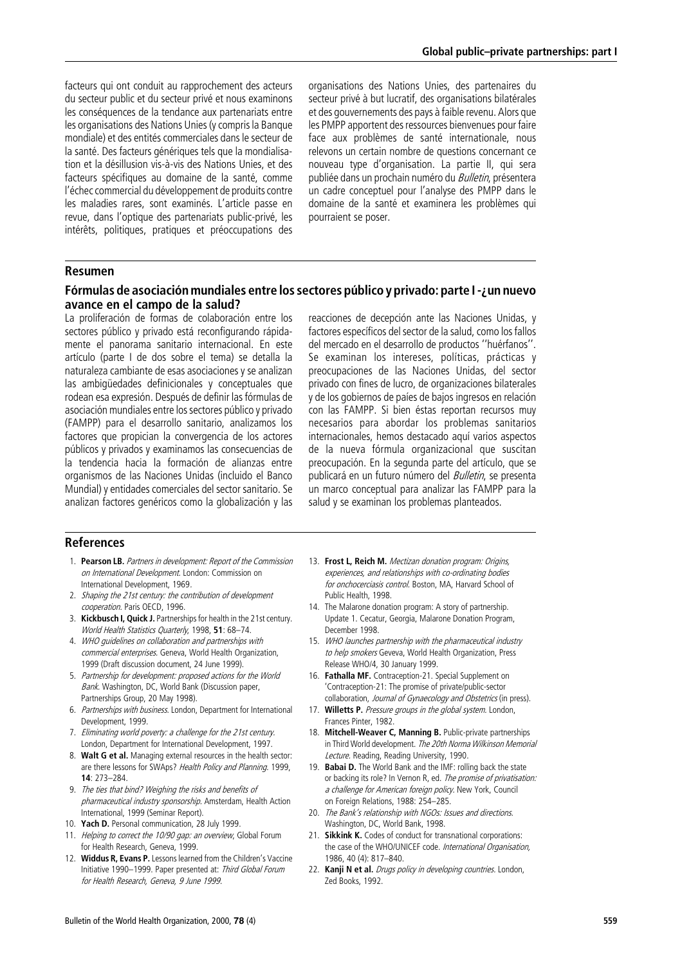facteurs qui ont conduit au rapprochement des acteurs du secteur public et du secteur privé et nous examinons les conséquences de la tendance aux partenariats entre les organisations des Nations Unies (y compris la Banque mondiale) et des entités commerciales dans le secteur de la santé. Des facteurs génériques tels que la mondialisation et la désillusion vis-à-vis des Nations Unies, et des facteurs spécifiques au domaine de la santé, comme l'échec commercial du développement de produits contre les maladies rares, sont examinés. L'article passe en revue, dans l'optique des partenariats public-privé, les intérêts, politiques, pratiques et préoccupations des

organisations des Nations Unies, des partenaires du secteur privé à but lucratif, des organisations bilatérales et des gouvernements des pays à faible revenu. Alors que les PMPP apportent des ressources bienvenues pour faire face aux problèmes de santé internationale, nous relevons un certain nombre de questions concernant ce nouveau type d'organisation. La partie II, qui sera publiée dans un prochain numéro du *Bulletin*, présentera un cadre conceptuel pour l'analyse des PMPP dans le domaine de la santé et examinera les problèmes qui pourraient se poser.

## Resumen

## Fórmulas de asociación mundiales entre los sectores público y privado: parte I -¿un nuevo avance en el campo de la salud?

La proliferación de formas de colaboración entre los sectores público y privado está reconfigurando rápidamente el panorama sanitario internacional. En este artículo (parte I de dos sobre el tema) se detalla la naturaleza cambiante de esas asociaciones y se analizan las ambigüedades definicionales y conceptuales que rodean esa expresión. Después de definir las fórmulas de asociación mundiales entre los sectores público y privado (FAMPP) para el desarrollo sanitario, analizamos los factores que propician la convergencia de los actores públicos y privados y examinamos las consecuencias de la tendencia hacia la formación de alianzas entre organismos de las Naciones Unidas (incluido el Banco Mundial) y entidades comerciales del sector sanitario. Se analizan factores genéricos como la globalización y las

reacciones de decepción ante las Naciones Unidas, y factores específicos del sector de la salud, como los fallos del mercado en el desarrollo de productos "huérfanos". Se examinan los intereses, políticas, prácticas y preocupaciones de las Naciones Unidas, del sector privado con fines de lucro, de organizaciones bilaterales y de los gobiernos de paíes de bajos ingresos en relación con las FAMPP. Si bien éstas reportan recursos muy necesarios para abordar los problemas sanitarios internacionales, hemos destacado aquí varios aspectos de la nueva fórmula organizacional que suscitan preocupación. En la segunda parte del artículo, que se publicará en un futuro número del *Bulletin*, se presenta un marco conceptual para analizar las FAMPP para la salud y se examinan los problemas planteados.

### References

- 1. Pearson LB. Partners in development: Report of the Commission on International Development. London: Commission on International Development, 1969.
- 2. Shaping the 21st century: the contribution of development cooperation. Paris OECD, 1996.
- 3. Kickbusch I, Quick J. Partnerships for health in the 21st century. World Health Statistics Quarterly, 1998, 51: 68-74.
- 4. WHO guidelines on collaboration and partnerships with commercial enterprises. Geneva, World Health Organization, 1999 (Draft discussion document, 24 June 1999).
- 5. Partnership for development: proposed actions for the World Bank. Washington, DC, World Bank (Discussion paper, Partnerships Group, 20 May 1998).
- 6. Partnerships with business. London, Department for International Development, 1999.
- 7. Eliminating world poverty: <sup>a</sup> challenge for the 21st century. London, Department for International Development, 1997.
- 8. Walt G et al. Managing external resources in the health sector: are there lessons for SWAps? Health Policy and Planning. 1999, 14: 273–284.
- 9. The ties that bind? Weighing the risks and benefits of pharmaceutical industry sponsorship. Amsterdam, Health Action International, 1999 (Seminar Report).
- 10. Yach D. Personal communication, 28 July 1999.
- 11. Helping to correct the 10/90 gap: an overview, Global Forum for Health Research, Geneva, 1999.
- 12. Widdus R, Evans P. Lessons learned from the Children's Vaccine Initiative 1990–1999. Paper presented at: Third Global Forum for Health Research, Geneva, 9 June 1999.
- 13. Frost L, Reich M. Mectizan donation program: Origins, experiences, and relationships with co-ordinating bodies for onchocerciasis control. Boston, MA, Harvard School of Public Health, 1998.
- 14. The Malarone donation program: A story of partnership. Update 1. Cecatur, Georgia, Malarone Donation Program, December 1998.
- 15. WHO launches partnership with the pharmaceutical industry to help smokers Geveva, World Health Organization, Press Release WHO/4, 30 January 1999.
- 16. Fathalla MF. Contraception-21. Special Supplement on 'Contraception-21: The promise of private/public-sector collaboration, Journal of Gynaecology and Obstetrics (in press).
- 17. Willetts P. Pressure groups in the global system. London, Frances Pinter, 1982.
- 18. Mitchell-Weaver C, Manning B. Public-private partnerships in Third World development. The 20th Norma Wilkinson Memorial Lecture. Reading, Reading University, 1990.
- 19. Babai D. The World Bank and the IMF: rolling back the state or backing its role? In Vernon R, ed. The promise of privatisation: <sup>a</sup> challenge for American foreign policy. New York, Council on Foreign Relations, 1988: 254–285.
- 20. The Bank's relationship with NGOs: Issues and directions. Washington, DC, World Bank, 1998.
- 21. Sikkink K. Codes of conduct for transnational corporations: the case of the WHO/UNICEF code. International Organisation, 1986, 40 (4): 817–840.
- 22. Kanji N et al. Drugs policy in developing countries. London, Zed Books, 1992.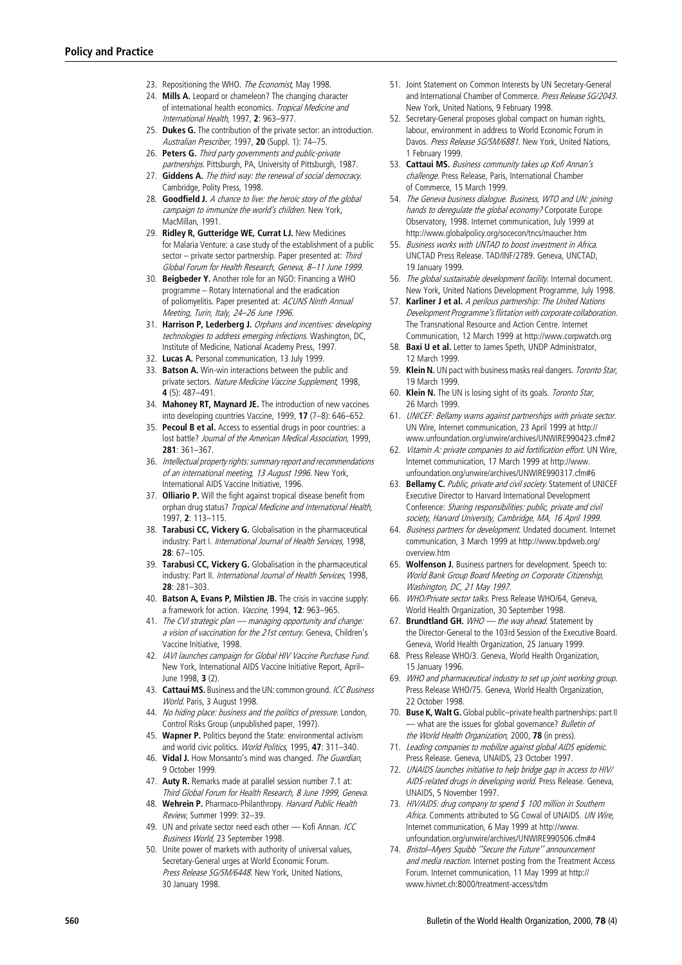- 23. Repositioning the WHO. The Fronomist May 1998.
- 24. Mills A. Leopard or chameleon? The changing character of international health economics. Tropical Medicine and International Health, 1997, 2: 963–977.
- 25. Dukes G. The contribution of the private sector: an introduction. Australian Prescriber, 1997, 20 (Suppl. 1): 74-75.
- 26. Peters G. Third party governments and public-private partnerships. Pittsburgh, PA, University of Pittsburgh, 1987.
- 27. Giddens A. The third way: the renewal of social democracy. Cambridge, Polity Press, 1998.
- 28. Goodfield J. A chance to live: the heroic story of the global campaign to immunize the world's children. New York, MacMillan, 1991.
- 29. Ridley R, Gutteridge WE, Currat LJ. New Medicines for Malaria Venture: a case study of the establishment of a public sector – private sector partnership. Paper presented at: Third Global Forum for Health Research, Geneva, 8–11 June 1999.
- 30. Beigbeder Y. Another role for an NGO: Financing a WHO programme – Rotary International and the eradication of poliomyelitis. Paper presented at: ACUNS Ninth Annual Meeting, Turin, Italy, 24–26 June 1996.
- 31. Harrison P, Lederberg J. Orphans and incentives: developing technologies to address emerging infections. Washington, DC, Institute of Medicine, National Academy Press, 1997.
- 32. Lucas A. Personal communication, 13 July 1999.
- 33. Batson A. Win-win interactions between the public and private sectors. Nature Medicine Vaccine Supplement, 1998, 4 (5): 487–491.
- 34. Mahoney RT, Maynard JE. The introduction of new vaccines into developing countries Vaccine, 1999, 17 (7–8): 646–652.
- 35. Pecoul B et al. Access to essential drugs in poor countries: a lost battle? Journal of the American Medical Association, 1999, 281: 361–367.
- 36. Intellectual property rights: summary report and recommendations of an international meeting, 13 August 1996. New York, International AIDS Vaccine Initiative, 1996.
- 37. Olliario P. Will the fight against tropical disease benefit from orphan drug status? Tropical Medicine and International Health, 1997, 2: 113–115.
- 38. Tarabusi CC, Vickery G. Globalisation in the pharmaceutical industry: Part I. International Journal of Health Services, 1998, 28: 67–105.
- 39. Tarabusi CC. Vickery G. Globalisation in the pharmaceutical industry: Part II. International Journal of Health Services, 1998,  $28: 281 - 303$
- 40. Batson A, Evans P, Milstien JB. The crisis in vaccine supply: a framework for action. Vaccine, 1994, 12: 963-965.
- 41. The CVI strategic plan managing opportunity and change: <sup>a</sup> vision of vaccination for the 21st century. Geneva, Children's Vaccine Initiative, 1998.
- 42. IAVI launches campaign for Global HIV Vaccine Purchase Fund. New York, International AIDS Vaccine Initiative Report, April– June 1998, 3 (2).
- 43. **Cattaui MS.** Business and the UN: common ground. *ICC Business* World. Paris, 3 August 1998.
- 44. No hiding place: business and the politics of pressure. London, Control Risks Group (unpublished paper, 1997).
- 45. Wapner P. Politics beyond the State: environmental activism and world civic politics. World Politics, 1995, 47: 311-340.
- 46. Vidal J. How Monsanto's mind was changed. The Guardian, 9 October 1999.
- 47. Auty R. Remarks made at parallel session number 7.1 at: Third Global Forum for Health Research, 8 June 1999, Geneva.
- 48. Wehrein P. Pharmaco-Philanthropy. Harvard Public Health Review, Summer 1999: 32–39.
- 49. UN and private sector need each other Kofi Annan. ICC Business World, 23 September 1998.
- 50. Unite power of markets with authority of universal values, Secretary-General urges at World Economic Forum. Press Release SG/SM/6448. New York, United Nations, 30 January 1998.
- 51. Joint Statement on Common Interests by UN Secretary-General and International Chamber of Commerce. Press Release SG/2043. New York, United Nations, 9 February 1998.
- 52. Secretary-General proposes global compact on human rights, labour, environment in address to World Economic Forum in Davos. Press Release SG/SM/6881. New York, United Nations, 1 February 1999.
- 53. Cattaui MS. Business community takes up Kofi Annan's challenge. Press Release, Paris, International Chamber of Commerce, 15 March 1999.
- 54. The Geneva business dialogue. Business, WTO and UN: joining hands to deregulate the global economy? Corporate Europe Observatory, 1998. Internet communication, July 1999 at http://www.globalpolicy.org/socecon/tncs/maucher.htm
- 55. Business works with UNTAD to boost investment in Africa. UNCTAD Press Release. TAD/INF/2789. Geneva, UNCTAD, 19 January 1999.
- 56. The global sustainable development facility. Internal document. New York, United Nations Development Programme, July 1998.
- 57. Karliner J et al. A perilous partnership: The United Nations Development Programme's flirtation with corporate collaboration. The Transnational Resource and Action Centre. Internet Communication, 12 March 1999 at http://www.corpwatch.org
- 58. Baxi U et al. Letter to James Speth, UNDP Administrator, 12 March 1999.
- 59. Klein N. UN pact with business masks real dangers. Toronto Star, 19 March 1999.
- 60. Klein N. The UN is losing sight of its goals. Toronto Star, 26 March 1999.
- 61. UNICEF: Bellamy warns against partnerships with private sector. UN Wire, Internet communication, 23 April 1999 at http:// www.unfoundation.org/unwire/archives/UNWIRE990423.cfm#2
- 62. Vitamin A: private companies to aid fortification effort. UN Wire, Internet communication, 17 March 1999 at http://www. unfoundation.org/unwire/archives/UNWIRE990317.cfm#6
- 63. Bellamy C. Public, private and civil society. Statement of UNICEF Executive Director to Harvard International Development Conference: Sharing responsibilities: public, private and civil society, Harvard University, Cambridge, MA, 16 April 1999.
- 64. Business partners for development. Undated document. Internet communication, 3 March 1999 at http://www.bpdweb.org/ overview.htm
- 65. Wolfenson J. Business partners for development. Speech to: World Bank Group Board Meeting on Corporate Citizenship, Washington, DC, 21 May 1997.
- 66. WHO/Private sector talks. Press Release WHO/64, Geneva, World Health Organization, 30 September 1998.
- 67. Brundtland GH. WHO the way ahead. Statement by the Director-General to the 103rd Session of the Executive Board. Geneva, World Health Organization, 25 January 1999.
- 68. Press Release WHO/3. Geneva, World Health Organization, 15 January 1996.
- 69. WHO and pharmaceutical industry to set up joint working group. Press Release WHO/75. Geneva, World Health Organization, 22 October 1998.
- 70. Buse K, Walt G. Global public-private health partnerships: part II — what are the issues for global governance? Bulletin of the World Health Organization, 2000, 78 (in press).
- 71. Leading companies to mobilize against global AIDS epidemic. Press Release. Geneva, UNAIDS, 23 October 1997.
- 72. UNAIDS launches initiative to help bridge gap in access to HIV/ AIDS-related drugs in developing world. Press Release. Geneva, UNAIDS, 5 November 1997.
- 73. HIV/AIDS: drug company to spend \$ 100 million in Southern Africa. Comments attributed to SG Cowal of UNAIDS. UN Wire, Internet communication, 6 May 1999 at http://www. unfoundation.org/unwire/archives/UNWIRE990506.cfm#4
- 74. Bristol–Myers Squibb ''Secure the Future'' announcement and media reaction. Internet posting from the Treatment Access Forum. Internet communication, 11 May 1999 at http:// www.hivnet.ch:8000/treatment-access/tdm